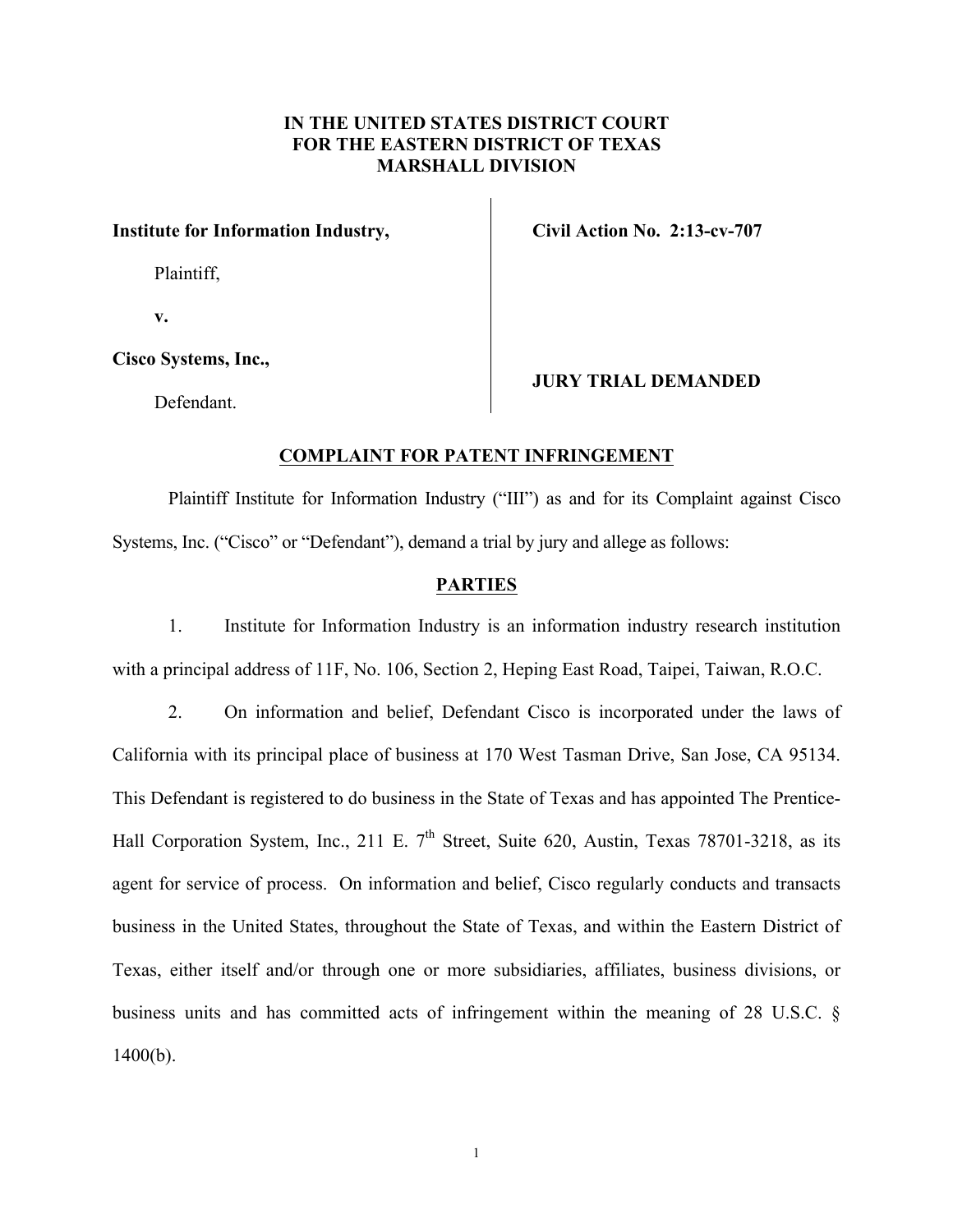# **IN THE UNITED STATES DISTRICT COURT FOR THE EASTERN DISTRICT OF TEXAS MARSHALL DIVISION**

## **Institute for Information Industry,**

Plaintiff,

**Civil Action No. 2:13-cv-707**

**v.**

## **Cisco Systems, Inc.,**

Defendant.

## **JURY TRIAL DEMANDED**

### **COMPLAINT FOR PATENT INFRINGEMENT**

Plaintiff Institute for Information Industry ("III") as and for its Complaint against Cisco Systems, Inc. ("Cisco" or "Defendant"), demand a trial by jury and allege as follows:

## **PARTIES**

1. Institute for Information Industry is an information industry research institution with a principal address of 11F, No. 106, Section 2, Heping East Road, Taipei, Taiwan, R.O.C.

2. On information and belief, Defendant Cisco is incorporated under the laws of California with its principal place of business at 170 West Tasman Drive, San Jose, CA 95134. This Defendant is registered to do business in the State of Texas and has appointed The Prentice-Hall Corporation System, Inc., 211 E.  $7<sup>th</sup>$  Street, Suite 620, Austin, Texas 78701-3218, as its agent for service of process. On information and belief, Cisco regularly conducts and transacts business in the United States, throughout the State of Texas, and within the Eastern District of Texas, either itself and/or through one or more subsidiaries, affiliates, business divisions, or business units and has committed acts of infringement within the meaning of 28 U.S.C. §  $1400(b)$ .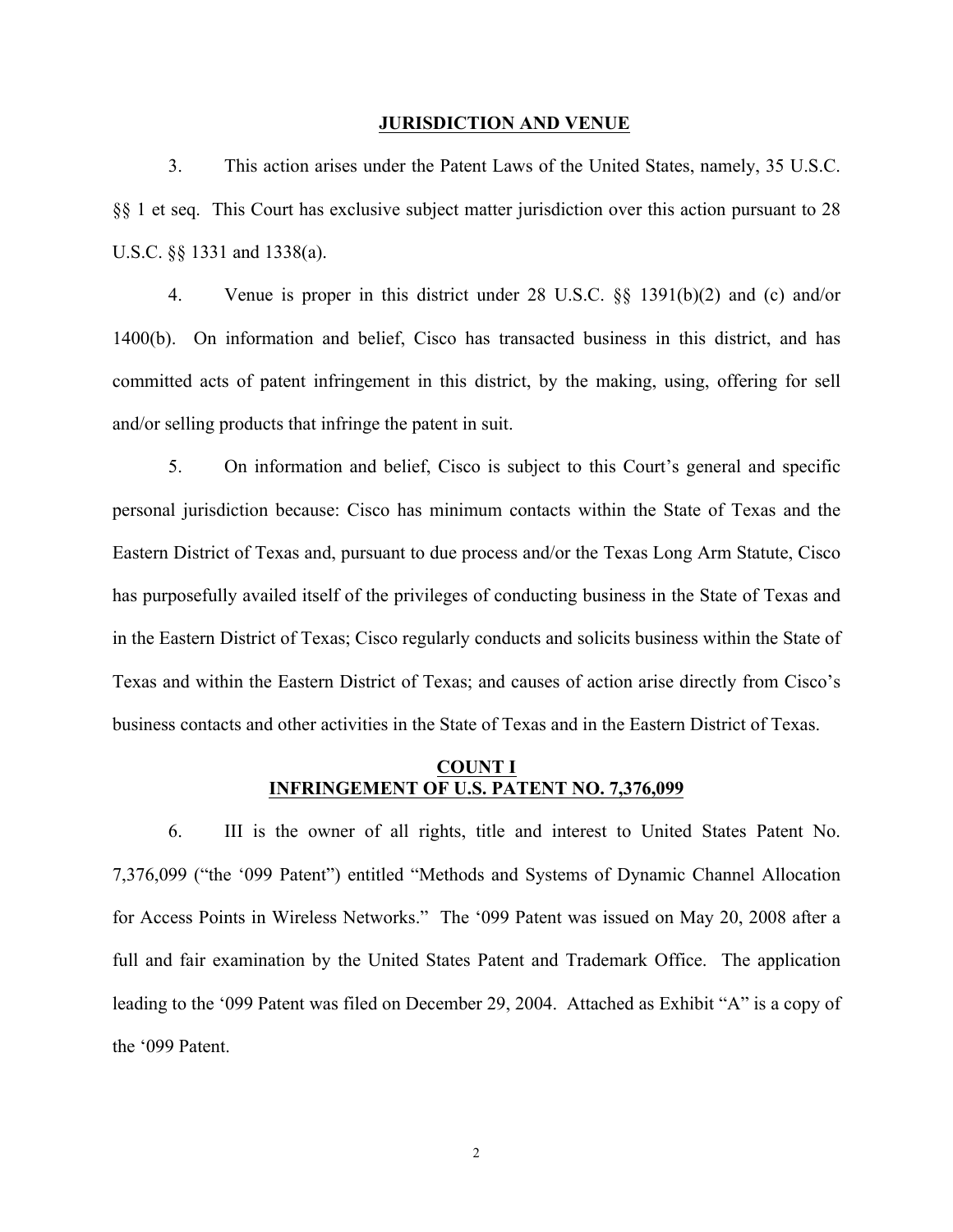#### **JURISDICTION AND VENUE**

3. This action arises under the Patent Laws of the United States, namely, 35 U.S.C. §§ 1 et seq. This Court has exclusive subject matter jurisdiction over this action pursuant to 28 U.S.C. §§ 1331 and 1338(a).

4. Venue is proper in this district under 28 U.S.C. §§ 1391(b)(2) and (c) and/or 1400(b). On information and belief, Cisco has transacted business in this district, and has committed acts of patent infringement in this district, by the making, using, offering for sell and/or selling products that infringe the patent in suit.

5. On information and belief, Cisco is subject to this Court's general and specific personal jurisdiction because: Cisco has minimum contacts within the State of Texas and the Eastern District of Texas and, pursuant to due process and/or the Texas Long Arm Statute, Cisco has purposefully availed itself of the privileges of conducting business in the State of Texas and in the Eastern District of Texas; Cisco regularly conducts and solicits business within the State of Texas and within the Eastern District of Texas; and causes of action arise directly from Cisco's business contacts and other activities in the State of Texas and in the Eastern District of Texas.

## **COUNT I INFRINGEMENT OF U.S. PATENT NO. 7,376,099**

6. III is the owner of all rights, title and interest to United States Patent No. 7,376,099 ("the '099 Patent") entitled "Methods and Systems of Dynamic Channel Allocation for Access Points in Wireless Networks." The '099 Patent was issued on May 20, 2008 after a full and fair examination by the United States Patent and Trademark Office. The application leading to the '099 Patent was filed on December 29, 2004. Attached as Exhibit "A" is a copy of the '099 Patent.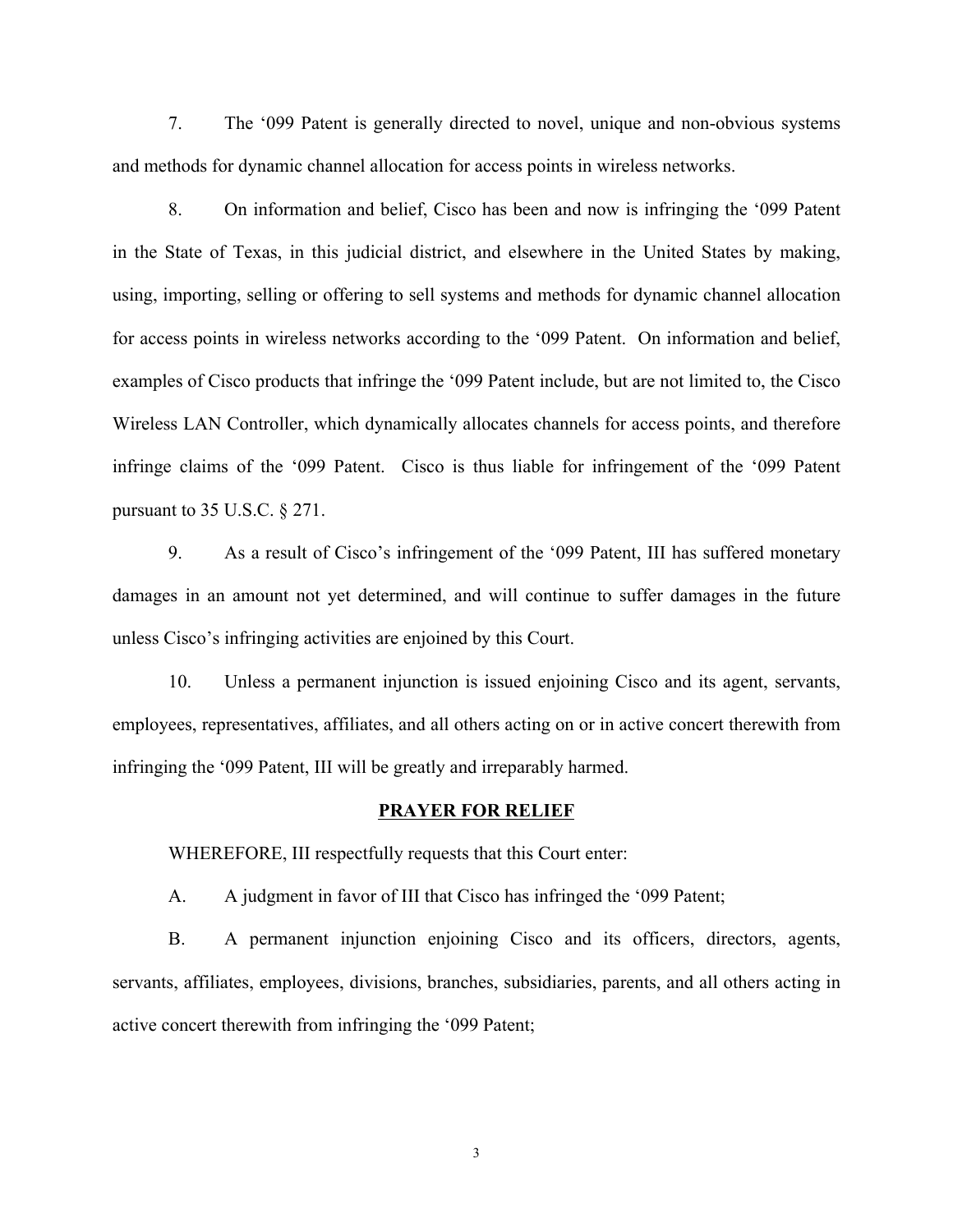7. The '099 Patent is generally directed to novel, unique and non-obvious systems and methods for dynamic channel allocation for access points in wireless networks.

8. On information and belief, Cisco has been and now is infringing the '099 Patent in the State of Texas, in this judicial district, and elsewhere in the United States by making, using, importing, selling or offering to sell systems and methods for dynamic channel allocation for access points in wireless networks according to the '099 Patent. On information and belief, examples of Cisco products that infringe the '099 Patent include, but are not limited to, the Cisco Wireless LAN Controller, which dynamically allocates channels for access points, and therefore infringe claims of the '099 Patent. Cisco is thus liable for infringement of the '099 Patent pursuant to 35 U.S.C. § 271.

9. As a result of Cisco's infringement of the '099 Patent, III has suffered monetary damages in an amount not yet determined, and will continue to suffer damages in the future unless Cisco's infringing activities are enjoined by this Court.

10. Unless a permanent injunction is issued enjoining Cisco and its agent, servants, employees, representatives, affiliates, and all others acting on or in active concert therewith from infringing the '099 Patent, III will be greatly and irreparably harmed.

## **PRAYER FOR RELIEF**

WHEREFORE, III respectfully requests that this Court enter:

A. A judgment in favor of III that Cisco has infringed the '099 Patent;

B. A permanent injunction enjoining Cisco and its officers, directors, agents, servants, affiliates, employees, divisions, branches, subsidiaries, parents, and all others acting in active concert therewith from infringing the '099 Patent;

3